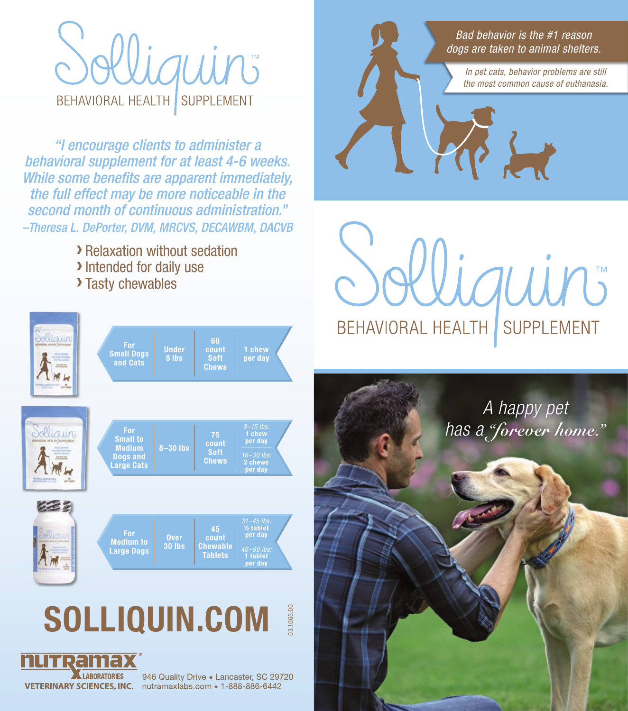## **BEHAVIORAL HEALTH SUPPLEMENT**

*"I encourage clients to administer a behavioral supplement for at least 4-6 weeks. While some benefits are apparent immediately, the full effect may be more noticeable in the second month of continuous administration." –Theresa L. DePorter, DVM, MRCVS, DECAWBM, DACVB*

**>** Relaxation without sedation<br> **>** Intended for daily use<br> **>** Tasty chewables





946 Quality Drive . Lancaster, SC 29720 VETERINARY SCIENCES, INC. nutramaxiabs.com . 1-888-886-6442



auin **BEHAVIORAL HEALTH SUPPLEMENT**